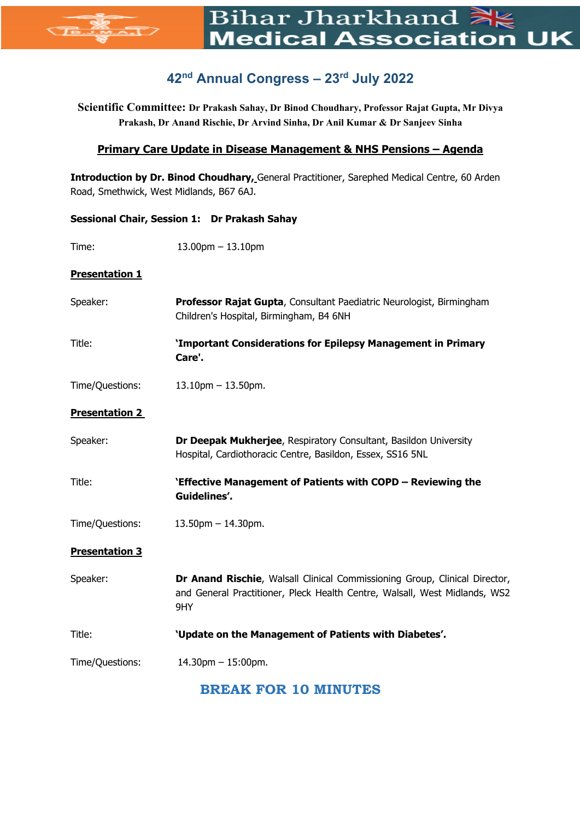

## **42nd Annual Congress – 23rd July 2022**

**Scientific Committee: Dr Prakash Sahay, Dr Binod Choudhary, Professor Rajat Gupta, Mr Divya Prakash, Dr Anand Rischie, Dr Arvind Sinha, Dr Anil Kumar & Dr Sanjeev Sinha**

## **Primary Care Update in Disease Management & NHS Pensions – Agenda**

**Introduction by Dr. Binod Choudhary,** General Practitioner, Sarephed Medical Centre, 60 Arden Road, Smethwick, West Midlands, B67 6AJ.

| Sessional Chair, Session 1: Dr Prakash Sahay |                                                                                                                                                                 |
|----------------------------------------------|-----------------------------------------------------------------------------------------------------------------------------------------------------------------|
| Time:                                        | $13.00$ pm $- 13.10$ pm                                                                                                                                         |
| <b>Presentation 1</b>                        |                                                                                                                                                                 |
| Speaker:                                     | Professor Rajat Gupta, Consultant Paediatric Neurologist, Birmingham<br>Children's Hospital, Birmingham, B4 6NH                                                 |
| Title:                                       | 'Important Considerations for Epilepsy Management in Primary<br>Care'.                                                                                          |
| Time/Questions:                              | $13.10$ pm $- 13.50$ pm.                                                                                                                                        |
| <b>Presentation 2</b>                        |                                                                                                                                                                 |
| Speaker:                                     | Dr Deepak Mukherjee, Respiratory Consultant, Basildon University<br>Hospital, Cardiothoracic Centre, Basildon, Essex, SS16 5NL                                  |
| Title:                                       | 'Effective Management of Patients with COPD - Reviewing the<br>Guidelines'.                                                                                     |
| Time/Questions:                              | $13.50$ pm $- 14.30$ pm.                                                                                                                                        |
| <b>Presentation 3</b>                        |                                                                                                                                                                 |
| Speaker:                                     | Dr Anand Rischie, Walsall Clinical Commissioning Group, Clinical Director,<br>and General Practitioner, Pleck Health Centre, Walsall, West Midlands, WS2<br>9HY |
| Title:                                       | 'Update on the Management of Patients with Diabetes'.                                                                                                           |
| Time/Questions:                              | $14.30$ pm $- 15:00$ pm.                                                                                                                                        |
|                                              |                                                                                                                                                                 |

**BREAK FOR 10 MINUTES**